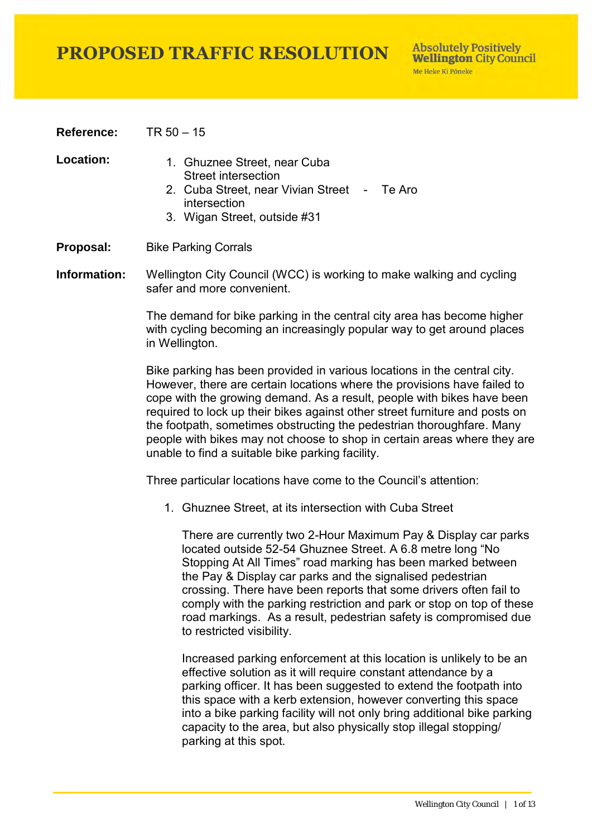**Reference:** TR 50 – 15

- Location: 1. Ghuznee Street, near Cuba Street intersection
	- 2. Cuba Street, near Vivian Street Te Aro intersection
	- 3. Wigan Street, outside #31
- **Proposal:** Bike Parking Corrals

**Information:** Wellington City Council (WCC) is working to make walking and cycling safer and more convenient.

> The demand for bike parking in the central city area has become higher with cycling becoming an increasingly popular way to get around places in Wellington.

Bike parking has been provided in various locations in the central city. However, there are certain locations where the provisions have failed to cope with the growing demand. As a result, people with bikes have been required to lock up their bikes against other street furniture and posts on the footpath, sometimes obstructing the pedestrian thoroughfare. Many people with bikes may not choose to shop in certain areas where they are unable to find a suitable bike parking facility.

Three particular locations have come to the Council's attention:

1. Ghuznee Street, at its intersection with Cuba Street

There are currently two 2-Hour Maximum Pay & Display car parks located outside 52-54 Ghuznee Street. A 6.8 metre long "No Stopping At All Times" road marking has been marked between the Pay & Display car parks and the signalised pedestrian crossing. There have been reports that some drivers often fail to comply with the parking restriction and park or stop on top of these road markings. As a result, pedestrian safety is compromised due to restricted visibility.

Increased parking enforcement at this location is unlikely to be an effective solution as it will require constant attendance by a parking officer. It has been suggested to extend the footpath into this space with a kerb extension, however converting this space into a bike parking facility will not only bring additional bike parking capacity to the area, but also physically stop illegal stopping/ parking at this spot.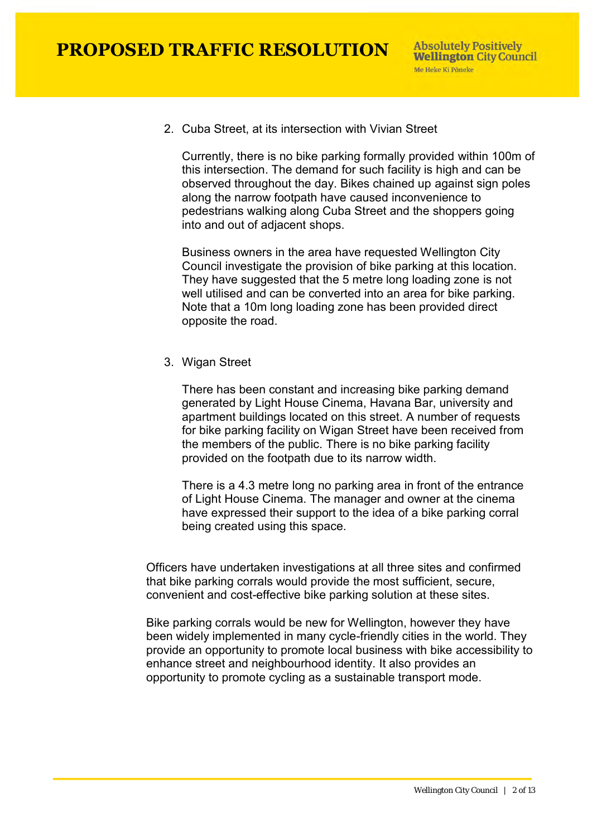2. Cuba Street, at its intersection with Vivian Street

Currently, there is no bike parking formally provided within 100m of this intersection. The demand for such facility is high and can be observed throughout the day. Bikes chained up against sign poles along the narrow footpath have caused inconvenience to pedestrians walking along Cuba Street and the shoppers going into and out of adjacent shops.

Business owners in the area have requested Wellington City Council investigate the provision of bike parking at this location. They have suggested that the 5 metre long loading zone is not well utilised and can be converted into an area for bike parking. Note that a 10m long loading zone has been provided direct opposite the road.

3. Wigan Street

There has been constant and increasing bike parking demand generated by Light House Cinema, Havana Bar, university and apartment buildings located on this street. A number of requests for bike parking facility on Wigan Street have been received from the members of the public. There is no bike parking facility provided on the footpath due to its narrow width.

There is a 4.3 metre long no parking area in front of the entrance of Light House Cinema. The manager and owner at the cinema have expressed their support to the idea of a bike parking corral being created using this space.

Officers have undertaken investigations at all three sites and confirmed that bike parking corrals would provide the most sufficient, secure, convenient and cost-effective bike parking solution at these sites.

Bike parking corrals would be new for Wellington, however they have been widely implemented in many cycle-friendly cities in the world. They provide an opportunity to promote local business with bike accessibility to enhance street and neighbourhood identity. It also provides an opportunity to promote cycling as a sustainable transport mode.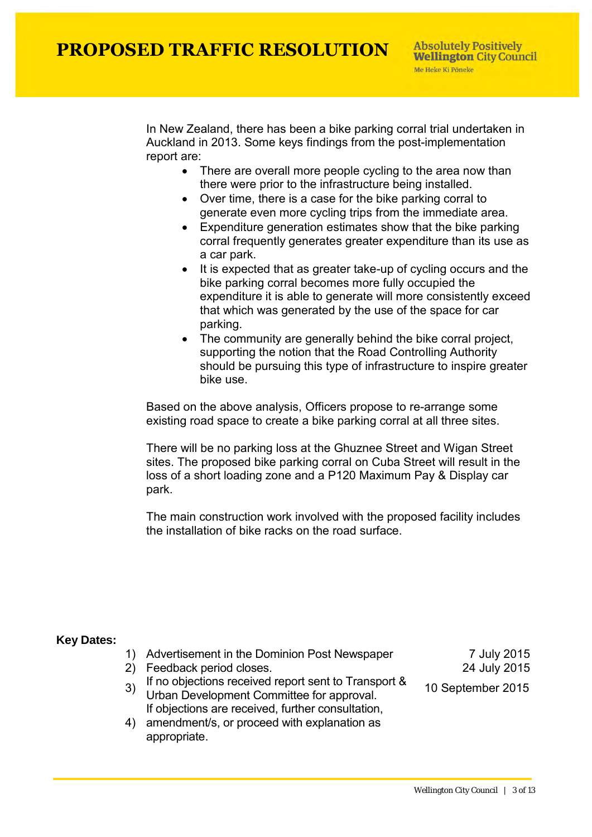In New Zealand, there has been a bike parking corral trial undertaken in Auckland in 2013. Some keys findings from the post-implementation report are:

- There are overall more people cycling to the area now than there were prior to the infrastructure being installed.
- Over time, there is a case for the bike parking corral to generate even more cycling trips from the immediate area.
- Expenditure generation estimates show that the bike parking corral frequently generates greater expenditure than its use as a car park.
- It is expected that as greater take-up of cycling occurs and the bike parking corral becomes more fully occupied the expenditure it is able to generate will more consistently exceed that which was generated by the use of the space for car parking.
- The community are generally behind the bike corral project, supporting the notion that the Road Controlling Authority should be pursuing this type of infrastructure to inspire greater bike use.

Based on the above analysis, Officers propose to re-arrange some existing road space to create a bike parking corral at all three sites.

There will be no parking loss at the Ghuznee Street and Wigan Street sites. The proposed bike parking corral on Cuba Street will result in the loss of a short loading zone and a P120 Maximum Pay & Display car park.

The main construction work involved with the proposed facility includes the installation of bike racks on the road surface.

### **Key Dates:**

- 1) Advertisement in the Dominion Post Newspaper 7 July 2015
- 2) Feedback period closes. 24 July 2015
- 3) If no objections received report sent to Transport & If he objections received report sent to Transport & 10 September 2015<br>Urban Development Committee for approval. If objections are received, further consultation,
- 4) amendment/s, or proceed with explanation as appropriate.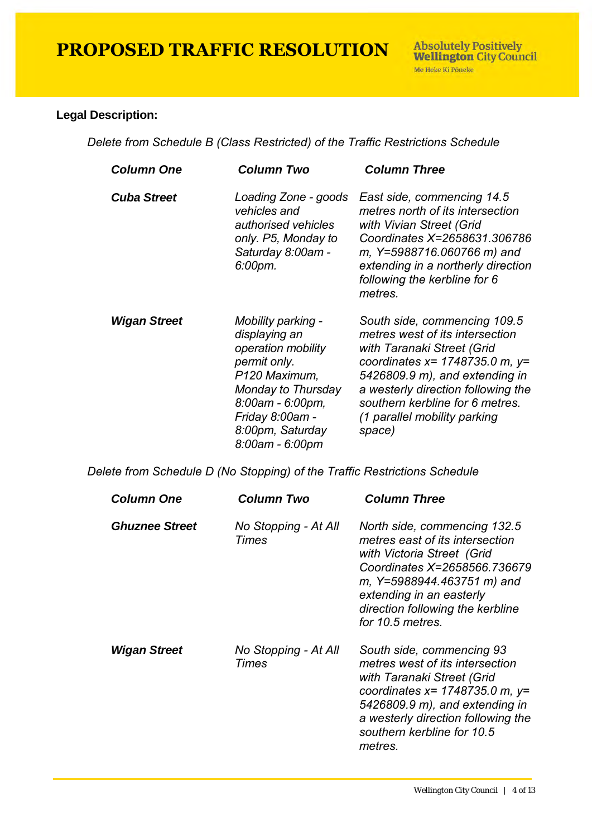### **Legal Description:**

*Delete from Schedule B (Class Restricted) of the Traffic Restrictions Schedule* 

| <b>Column One</b>   | <b>Column Two</b>                                                                                                                                                                              | <b>Column Three</b>                                                                                                                                                                                                                                                                        |
|---------------------|------------------------------------------------------------------------------------------------------------------------------------------------------------------------------------------------|--------------------------------------------------------------------------------------------------------------------------------------------------------------------------------------------------------------------------------------------------------------------------------------------|
| <b>Cuba Street</b>  | Loading Zone - goods<br>vehicles and<br>authorised vehicles<br>only. P5, Monday to<br>Saturday 8:00am -<br>6:00pm.                                                                             | East side, commencing 14.5<br>metres north of its intersection<br>with Vivian Street (Grid<br>Coordinates X=2658631,306786<br>m, Y=5988716.060766 m) and<br>extending in a northerly direction<br>following the kerbline for 6<br>metres.                                                  |
| <b>Wigan Street</b> | Mobility parking -<br>displaying an<br>operation mobility<br>permit only.<br>P120 Maximum,<br>Monday to Thursday<br>8:00am - 6:00pm,<br>Friday 8:00am -<br>8:00pm, Saturday<br>8:00am - 6:00pm | South side, commencing 109.5<br>metres west of its intersection<br>with Taranaki Street (Grid<br>coordinates $x = 1748735.0$ m, $y =$<br>5426809.9 m), and extending in<br>a westerly direction following the<br>southern kerbline for 6 metres.<br>(1 parallel mobility parking<br>space) |

*Delete from Schedule D (No Stopping) of the Traffic Restrictions Schedule* 

| <b>Column One</b>     | Column Two                    | <b>Column Three</b>                                                                                                                                                                                                                                 |
|-----------------------|-------------------------------|-----------------------------------------------------------------------------------------------------------------------------------------------------------------------------------------------------------------------------------------------------|
| <b>Ghuznee Street</b> | No Stopping - At All<br>Times | North side, commencing 132.5<br>metres east of its intersection<br>with Victoria Street (Grid<br>Coordinates X=2658566.736679<br>m, Y=5988944.463751 m) and<br>extending in an easterly<br>direction following the kerbline<br>for 10.5 metres.     |
| Wigan Street          | No Stopping - At All<br>Times | South side, commencing 93<br>metres west of its intersection<br>with Taranaki Street (Grid<br>coordinates $x = 1748735.0$ m, $y =$<br>5426809.9 m), and extending in<br>a westerly direction following the<br>southern kerbline for 10.5<br>metres. |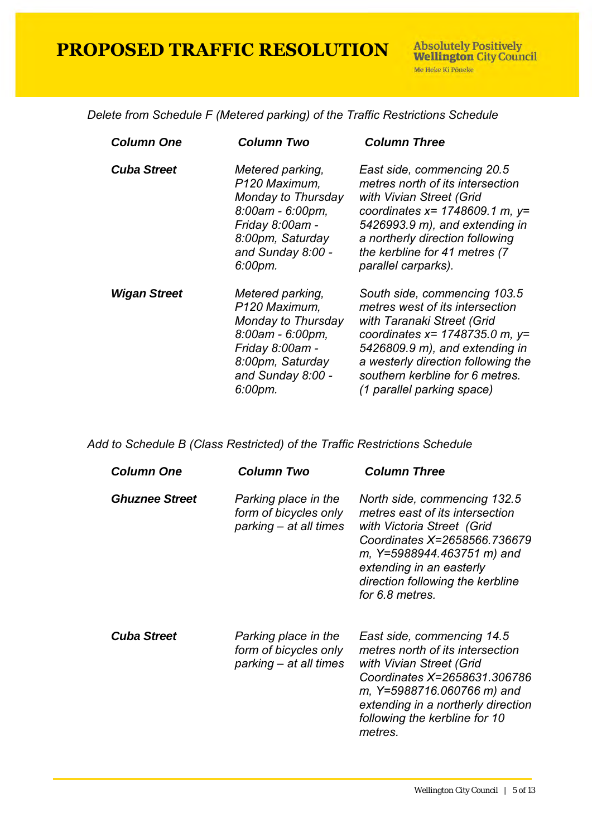*Delete from Schedule F (Metered parking) of the Traffic Restrictions Schedule* 

| <b>Column One</b>   | <b>Column Two</b>                                                                                                                                  | <b>Column Three</b>                                                                                                                                                                                                                                                            |
|---------------------|----------------------------------------------------------------------------------------------------------------------------------------------------|--------------------------------------------------------------------------------------------------------------------------------------------------------------------------------------------------------------------------------------------------------------------------------|
| <b>Cuba Street</b>  | Metered parking,<br>P120 Maximum.<br>Monday to Thursday<br>8:00am - 6:00pm,<br>Friday 8:00am -<br>8:00pm, Saturday<br>and Sunday 8:00 -<br>6:00pm. | East side, commencing 20.5<br>metres north of its intersection<br>with Vivian Street (Grid<br>coordinates $x = 1748609.1$ m, $y =$<br>5426993.9 m), and extending in<br>a northerly direction following<br>the kerbline for 41 metres (7<br>parallel carparks).                |
| <b>Wigan Street</b> | Metered parking,<br>P120 Maximum,<br>Monday to Thursday<br>8:00am - 6:00pm,<br>Friday 8:00am -<br>8:00pm, Saturday<br>and Sunday 8:00 -<br>6:00pm. | South side, commencing 103.5<br>metres west of its intersection<br>with Taranaki Street (Grid<br>coordinates $x = 1748735.0$ m, $y =$<br>5426809.9 m), and extending in<br>a westerly direction following the<br>southern kerbline for 6 metres.<br>(1 parallel parking space) |

*Add to Schedule B (Class Restricted) of the Traffic Restrictions Schedule* 

| <b>Column One</b>     | Column Two                                                              | <b>Column Three</b>                                                                                                                                                                                                                            |
|-----------------------|-------------------------------------------------------------------------|------------------------------------------------------------------------------------------------------------------------------------------------------------------------------------------------------------------------------------------------|
| <b>Ghuznee Street</b> | Parking place in the<br>form of bicycles only<br>parking - at all times | North side, commencing 132.5<br>metres east of its intersection<br>with Victoria Street (Grid<br>Coordinates X=2658566.736679<br>m, Y=5988944.463751 m) and<br>extending in an easterly<br>direction following the kerbline<br>for 6.8 metres. |
| <b>Cuba Street</b>    | Parking place in the<br>form of bicycles only<br>parking – at all times | East side, commencing 14.5<br>metres north of its intersection<br>with Vivian Street (Grid<br>Coordinates X=2658631.306786<br>m, Y=5988716.060766 m) and<br>extending in a northerly direction<br>following the kerbline for 10<br>metres.     |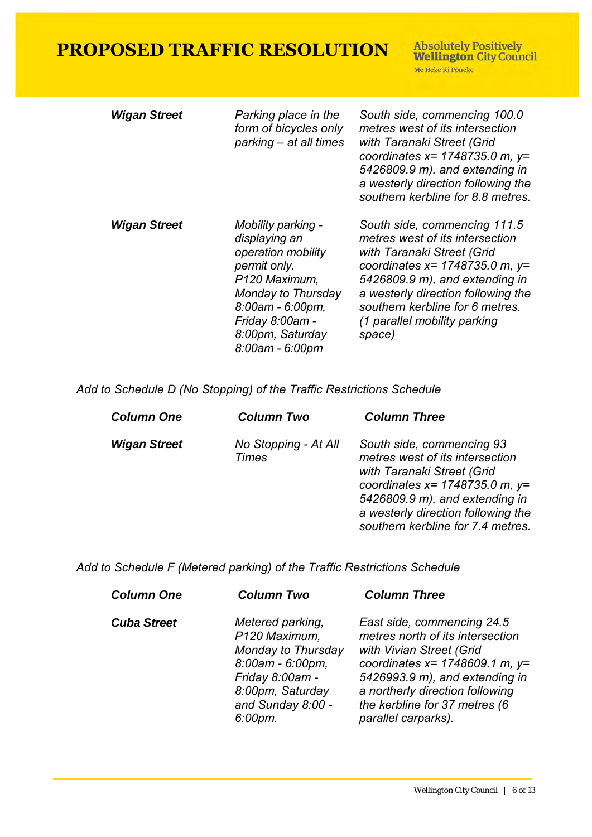**Absolutely Positively<br>Wellington City Council** Me Heke Ki Pôneke

| <b>Wigan Street</b> | Parking place in the<br>form of bicycles only<br>parking – at all times                                                                                                                        | South side, commencing 100.0<br>metres west of its intersection<br>with Taranaki Street (Grid<br>coordinates $x = 1748735.0$ m, $y =$<br>5426809.9 m), and extending in<br>a westerly direction following the<br>southern kerbline for 8.8 metres.                                         |
|---------------------|------------------------------------------------------------------------------------------------------------------------------------------------------------------------------------------------|--------------------------------------------------------------------------------------------------------------------------------------------------------------------------------------------------------------------------------------------------------------------------------------------|
| <b>Wigan Street</b> | Mobility parking -<br>displaying an<br>operation mobility<br>permit only.<br>P120 Maximum,<br>Monday to Thursday<br>8:00am - 6:00pm,<br>Friday 8:00am -<br>8:00pm, Saturday<br>8:00am - 6:00pm | South side, commencing 111.5<br>metres west of its intersection<br>with Taranaki Street (Grid<br>coordinates $x = 1748735.0$ m, $y =$<br>5426809.9 m), and extending in<br>a westerly direction following the<br>southern kerbline for 6 metres.<br>(1 parallel mobility parking<br>space) |

 *Add to Schedule D (No Stopping) of the Traffic Restrictions Schedule* 

| <b>Wigan Street</b><br>South side, commencing 93<br>No Stopping - At All<br>metres west of its intersection<br>Times<br>with Taranaki Street (Grid | <b>Column One</b> | <b>Column Two</b> | <b>Column Three</b>                                                                                                                               |
|----------------------------------------------------------------------------------------------------------------------------------------------------|-------------------|-------------------|---------------------------------------------------------------------------------------------------------------------------------------------------|
|                                                                                                                                                    |                   |                   | coordinates $x = 1748735.0$ m, $y =$<br>5426809.9 m), and extending in<br>a westerly direction following the<br>southern kerbline for 7.4 metres. |

 *Add to Schedule F (Metered parking) of the Traffic Restrictions Schedule*

| <b>Column One</b>  | <b>Column Two</b>                                                                                                                                  | <b>Column Three</b>                                                                                                                                                                                                                                            |
|--------------------|----------------------------------------------------------------------------------------------------------------------------------------------------|----------------------------------------------------------------------------------------------------------------------------------------------------------------------------------------------------------------------------------------------------------------|
| <b>Cuba Street</b> | Metered parking,<br>P120 Maximum,<br>Monday to Thursday<br>8:00am - 6:00pm,<br>Friday 8:00am -<br>8:00pm, Saturday<br>and Sunday 8:00 -<br>6:00pm. | East side, commencing 24.5<br>metres north of its intersection<br>with Vivian Street (Grid<br>coordinates $x = 1748609.1$ m, $y=$<br>5426993.9 m), and extending in<br>a northerly direction following<br>the kerbline for 37 metres (6<br>parallel carparks). |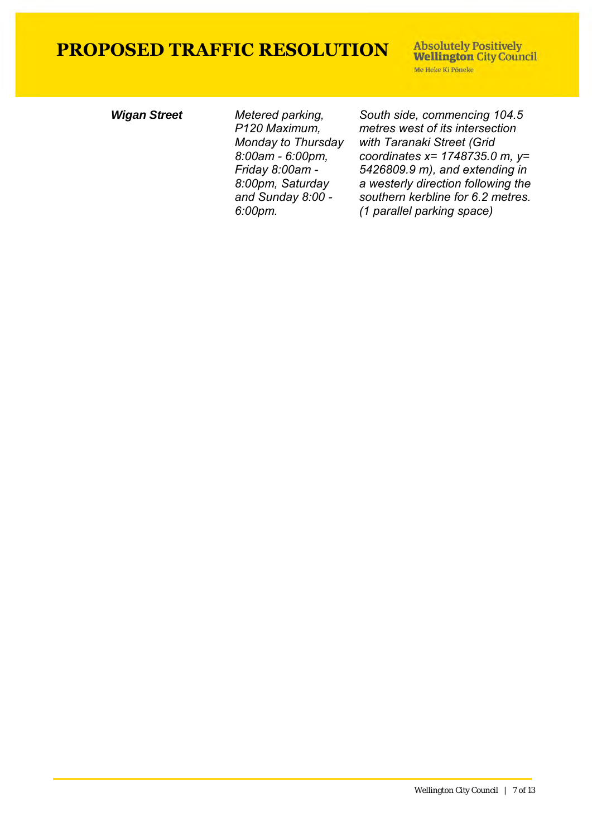**Absolutely Positively Wellington City Council** Me Heke Ki Põneke

*Wigan Street Metered parking, P120 Maximum, Monday to Thursday 8:00am - 6:00pm, Friday 8:00am - 8:00pm, Saturday and Sunday 8:00 - 6:00pm.*

*South side, commencing 104.5 metres west of its intersection with Taranaki Street (Grid coordinates x= 1748735.0 m, y= 5426809.9 m), and extending in a westerly direction following the southern kerbline for 6.2 metres. (1 parallel parking space)*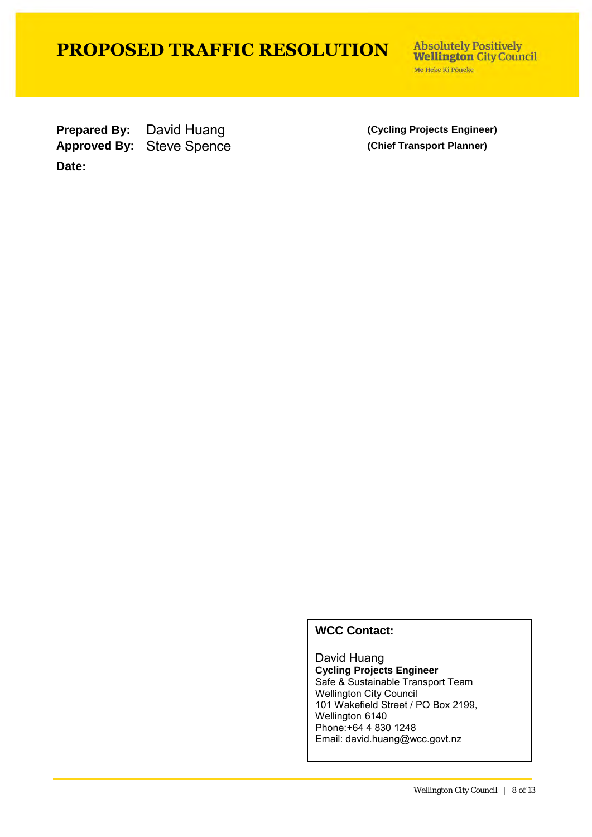**Absolutely Positively Wellington City Council** Me Heke Ki Põneke

**Prepared By:** David Huang **(Cycling Projects Engineer)** Approved By: Steve Spence **(Chief Transport Planner) Date:**

### **WCC Contact:**

David Huang **Cycling Projects Engineer** Safe & Sustainable Transport Team Wellington City Council 101 Wakefield Street / PO Box 2199, Wellington 6140 Phone:+64 4 830 1248 Email: david.huang@wcc.govt.nz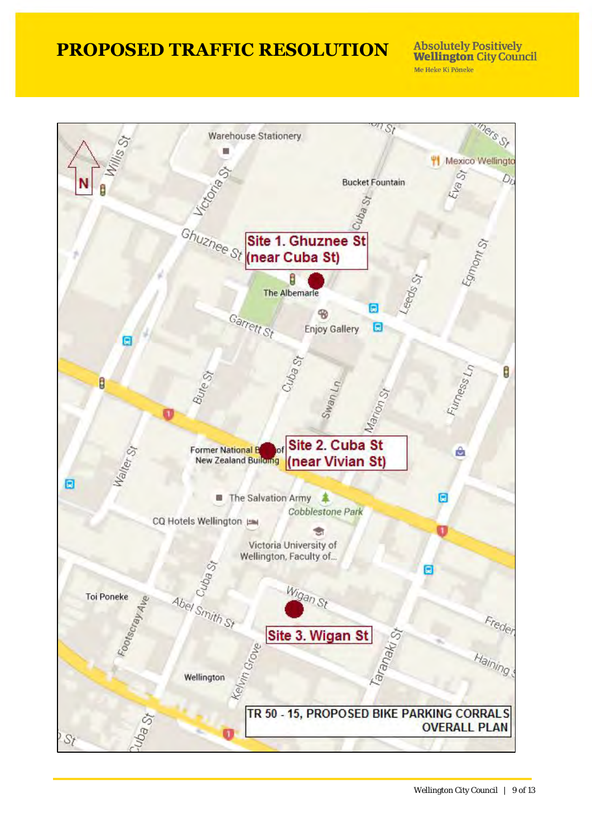**Absolutely Positively Wellington City Council** Me Heke Ki Pôneke

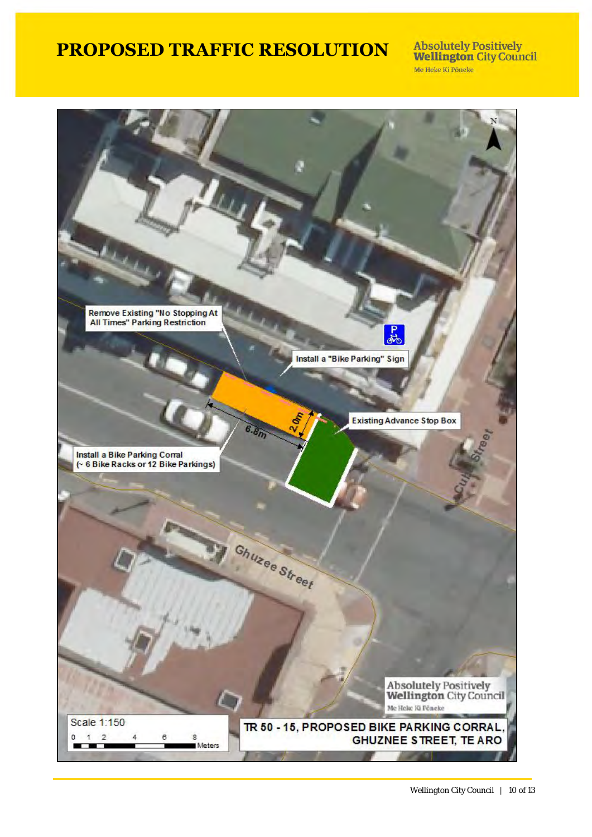**Absolutely Positively<br>Wellington City Council** Me Heke Ki Põneke

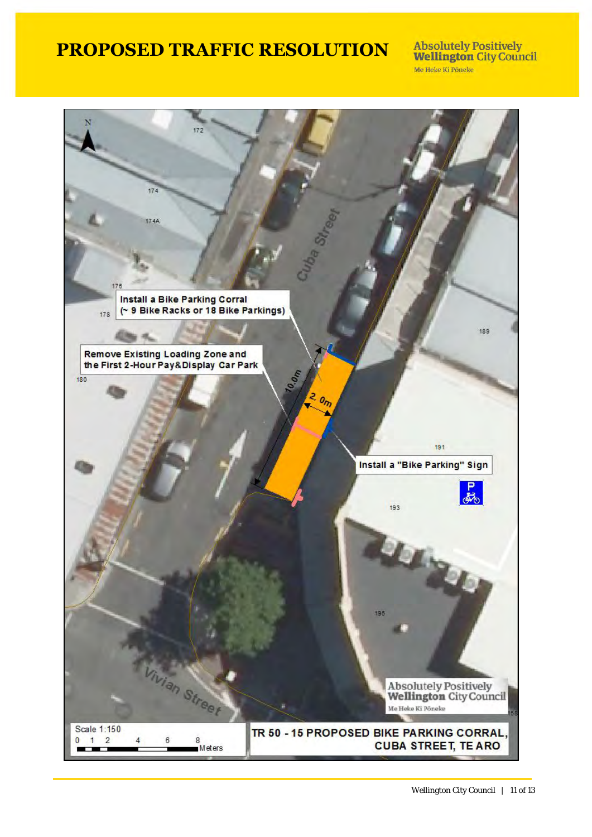**Absolutely Positively<br>Wellington City Council** Me Heke Ki Pôneke

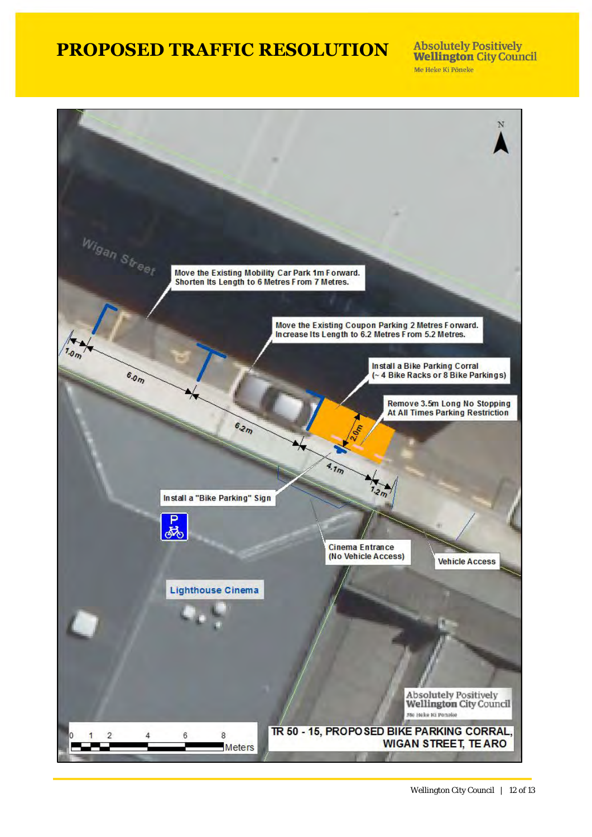**Absolutely Positively Wellington City Council** Me Heke Ki Põneke